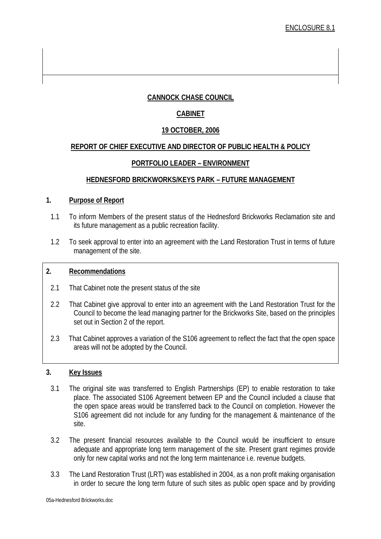# **CANNOCK CHASE COUNCIL**

# **CABINET**

## **19 OCTOBER, 2006**

### **REPORT OF CHIEF EXECUTIVE AND DIRECTOR OF PUBLIC HEALTH & POLICY**

### **PORTFOLIO LEADER – ENVIRONMENT**

### **HEDNESFORD BRICKWORKS/KEYS PARK – FUTURE MANAGEMENT**

#### **1. Purpose of Report**

- 1.1 To inform Members of the present status of the Hednesford Brickworks Reclamation site and its future management as a public recreation facility.
- 1.2 To seek approval to enter into an agreement with the Land Restoration Trust in terms of future management of the site.

#### **2. Recommendations**

- 2.1 That Cabinet note the present status of the site
- 2.2 That Cabinet give approval to enter into an agreement with the Land Restoration Trust for the Council to become the lead managing partner for the Brickworks Site, based on the principles set out in Section 2 of the report.
- 2.3 That Cabinet approves a variation of the S106 agreement to reflect the fact that the open space areas will not be adopted by the Council.

#### **3. Key Issues**

- 3.1 The original site was transferred to English Partnerships (EP) to enable restoration to take place. The associated S106 Agreement between EP and the Council included a clause that the open space areas would be transferred back to the Council on completion. However the S106 agreement did not include for any funding for the management & maintenance of the site.
- 3.2 The present financial resources available to the Council would be insufficient to ensure adequate and appropriate long term management of the site. Present grant regimes provide only for new capital works and not the long term maintenance i.e. revenue budgets.
- 3.3 The Land Restoration Trust (LRT) was established in 2004, as a non profit making organisation in order to secure the long term future of such sites as public open space and by providing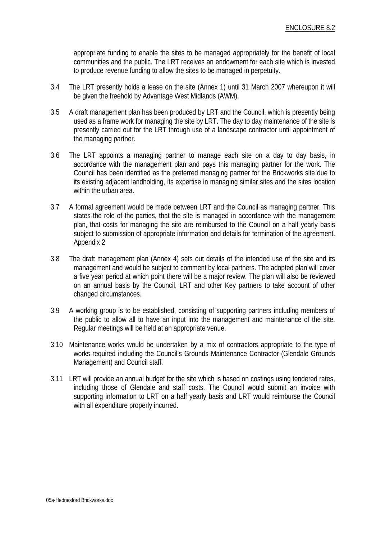appropriate funding to enable the sites to be managed appropriately for the benefit of local communities and the public. The LRT receives an endowment for each site which is invested to produce revenue funding to allow the sites to be managed in perpetuity.

- 3.4 The LRT presently holds a lease on the site (Annex 1) until 31 March 2007 whereupon it will be given the freehold by Advantage West Midlands (AWM).
- 3.5 A draft management plan has been produced by LRT and the Council, which is presently being used as a frame work for managing the site by LRT. The day to day maintenance of the site is presently carried out for the LRT through use of a landscape contractor until appointment of the managing partner.
- 3.6 The LRT appoints a managing partner to manage each site on a day to day basis, in accordance with the management plan and pays this managing partner for the work. The Council has been identified as the preferred managing partner for the Brickworks site due to its existing adjacent landholding, its expertise in managing similar sites and the sites location within the urban area.
- 3.7 A formal agreement would be made between LRT and the Council as managing partner. This states the role of the parties, that the site is managed in accordance with the management plan, that costs for managing the site are reimbursed to the Council on a half yearly basis subject to submission of appropriate information and details for termination of the agreement. Appendix 2
- 3.8 The draft management plan (Annex 4) sets out details of the intended use of the site and its management and would be subject to comment by local partners. The adopted plan will cover a five year period at which point there will be a major review. The plan will also be reviewed on an annual basis by the Council, LRT and other Key partners to take account of other changed circumstances.
- 3.9 A working group is to be established, consisting of supporting partners including members of the public to allow all to have an input into the management and maintenance of the site. Regular meetings will be held at an appropriate venue.
- 3.10 Maintenance works would be undertaken by a mix of contractors appropriate to the type of works required including the Council's Grounds Maintenance Contractor (Glendale Grounds Management) and Council staff.
- 3.11 LRT will provide an annual budget for the site which is based on costings using tendered rates, including those of Glendale and staff costs. The Council would submit an invoice with supporting information to LRT on a half yearly basis and LRT would reimburse the Council with all expenditure properly incurred.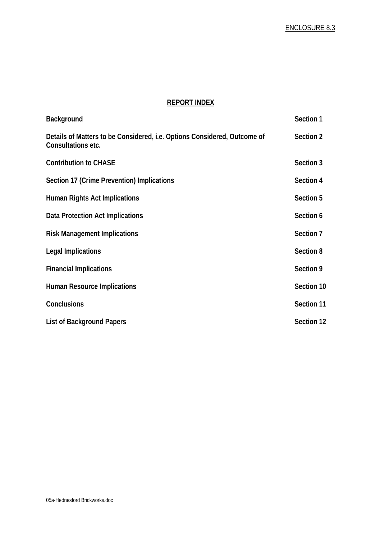### **REPORT INDEX**

| <b>Background</b>                                                                              | Section 1  |
|------------------------------------------------------------------------------------------------|------------|
| Details of Matters to be Considered, i.e. Options Considered, Outcome of<br>Consultations etc. | Section 2  |
| <b>Contribution to CHASE</b>                                                                   | Section 3  |
| Section 17 (Crime Prevention) Implications                                                     | Section 4  |
| Human Rights Act Implications                                                                  | Section 5  |
| Data Protection Act Implications                                                               | Section 6  |
| <b>Risk Management Implications</b>                                                            | Section 7  |
| <b>Legal Implications</b>                                                                      | Section 8  |
| <b>Financial Implications</b>                                                                  | Section 9  |
| <b>Human Resource Implications</b>                                                             | Section 10 |
| <b>Conclusions</b>                                                                             | Section 11 |
| <b>List of Background Papers</b>                                                               | Section 12 |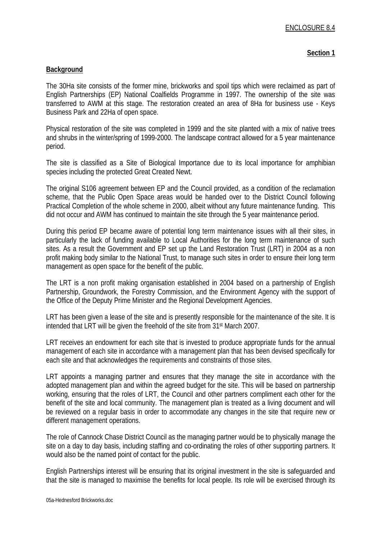#### **Section 1**

### **Background**

The 30Ha site consists of the former mine, brickworks and spoil tips which were reclaimed as part of English Partnerships (EP) National Coalfields Programme in 1997. The ownership of the site was transferred to AWM at this stage. The restoration created an area of 8Ha for business use - Keys Business Park and 22Ha of open space.

Physical restoration of the site was completed in 1999 and the site planted with a mix of native trees and shrubs in the winter/spring of 1999-2000. The landscape contract allowed for a 5 year maintenance period.

The site is classified as a Site of Biological Importance due to its local importance for amphibian species including the protected Great Created Newt.

The original S106 agreement between EP and the Council provided, as a condition of the reclamation scheme, that the Public Open Space areas would be handed over to the District Council following Practical Completion of the whole scheme in 2000, albeit without any future maintenance funding. This did not occur and AWM has continued to maintain the site through the 5 year maintenance period.

During this period EP became aware of potential long term maintenance issues with all their sites, in particularly the lack of funding available to Local Authorities for the long term maintenance of such sites. As a result the Government and EP set up the Land Restoration Trust (LRT) in 2004 as a non profit making body similar to the National Trust, to manage such sites in order to ensure their long term management as open space for the benefit of the public.

The LRT is a non profit making organisation established in 2004 based on a partnership of English Partnership, Groundwork, the Forestry Commission, and the Environment Agency with the support of the Office of the Deputy Prime Minister and the Regional Development Agencies.

LRT has been given a lease of the site and is presently responsible for the maintenance of the site. It is intended that LRT will be given the freehold of the site from 31st March 2007.

LRT receives an endowment for each site that is invested to produce appropriate funds for the annual management of each site in accordance with a management plan that has been devised specifically for each site and that acknowledges the requirements and constraints of those sites.

LRT appoints a managing partner and ensures that they manage the site in accordance with the adopted management plan and within the agreed budget for the site. This will be based on partnership working, ensuring that the roles of LRT, the Council and other partners compliment each other for the benefit of the site and local community. The management plan is treated as a living document and will be reviewed on a regular basis in order to accommodate any changes in the site that require new or different management operations.

The role of Cannock Chase District Council as the managing partner would be to physically manage the site on a day to day basis, including staffing and co-ordinating the roles of other supporting partners. It would also be the named point of contact for the public.

English Partnerships interest will be ensuring that its original investment in the site is safeguarded and that the site is managed to maximise the benefits for local people. Its role will be exercised through its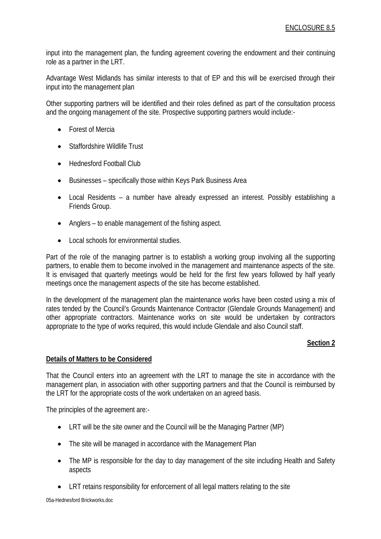input into the management plan, the funding agreement covering the endowment and their continuing role as a partner in the LRT.

Advantage West Midlands has similar interests to that of EP and this will be exercised through their input into the management plan

Other supporting partners will be identified and their roles defined as part of the consultation process and the ongoing management of the site. Prospective supporting partners would include:-

- Forest of Mercia
- Staffordshire Wildlife Trust
- Hednesford Football Club
- Businesses specifically those within Keys Park Business Area
- Local Residents a number have already expressed an interest. Possibly establishing a Friends Group.
- Anglers to enable management of the fishing aspect.
- Local schools for environmental studies.

Part of the role of the managing partner is to establish a working group involving all the supporting partners, to enable them to become involved in the management and maintenance aspects of the site. It is envisaged that quarterly meetings would be held for the first few years followed by half yearly meetings once the management aspects of the site has become established.

In the development of the management plan the maintenance works have been costed using a mix of rates tended by the Council's Grounds Maintenance Contractor (Glendale Grounds Management) and other appropriate contractors. Maintenance works on site would be undertaken by contractors appropriate to the type of works required, this would include Glendale and also Council staff.

### **Section 2**

### **Details of Matters to be Considered**

That the Council enters into an agreement with the LRT to manage the site in accordance with the management plan, in association with other supporting partners and that the Council is reimbursed by the LRT for the appropriate costs of the work undertaken on an agreed basis.

The principles of the agreement are:-

- LRT will be the site owner and the Council will be the Managing Partner (MP)
- The site will be managed in accordance with the Management Plan
- The MP is responsible for the day to day management of the site including Health and Safety aspects
- LRT retains responsibility for enforcement of all legal matters relating to the site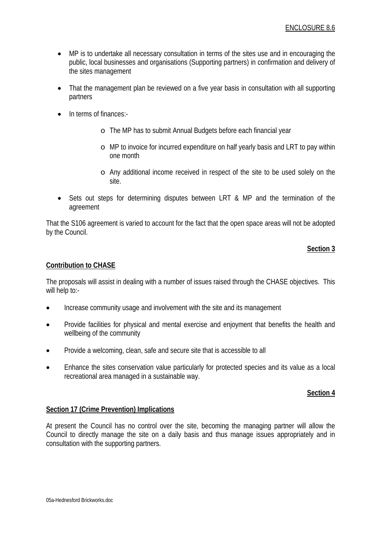- MP is to undertake all necessary consultation in terms of the sites use and in encouraging the public, local businesses and organisations (Supporting partners) in confirmation and delivery of the sites management
- That the management plan be reviewed on a five year basis in consultation with all supporting partners
- In terms of finances:
	- o The MP has to submit Annual Budgets before each financial year
	- o MP to invoice for incurred expenditure on half yearly basis and LRT to pay within one month
	- o Any additional income received in respect of the site to be used solely on the site.
- Sets out steps for determining disputes between LRT & MP and the termination of the agreement

That the S106 agreement is varied to account for the fact that the open space areas will not be adopted by the Council.

### **Section 3**

### **Contribution to CHASE**

The proposals will assist in dealing with a number of issues raised through the CHASE objectives. This will help to:-

- Increase community usage and involvement with the site and its management
- Provide facilities for physical and mental exercise and enjoyment that benefits the health and wellbeing of the community
- Provide a welcoming, clean, safe and secure site that is accessible to all
- Enhance the sites conservation value particularly for protected species and its value as a local recreational area managed in a sustainable way.

### **Section 4**

#### **Section 17 (Crime Prevention) Implications**

At present the Council has no control over the site, becoming the managing partner will allow the Council to directly manage the site on a daily basis and thus manage issues appropriately and in consultation with the supporting partners.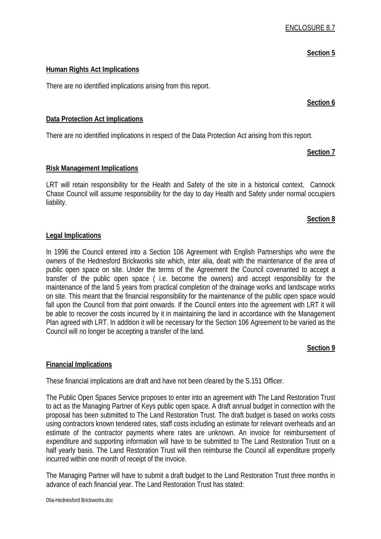#### **Section 5**

### **Human Rights Act Implications**

There are no identified implications arising from this report.

#### **Section 6**

### **Data Protection Act Implications**

There are no identified implications in respect of the Data Protection Act arising from this report.

#### **Section 7**

### **Risk Management Implications**

LRT will retain responsibility for the Health and Safety of the site in a historical context. Cannock Chase Council will assume responsibility for the day to day Health and Safety under normal occupiers liability.

#### **Section 8**

#### **Legal Implications**

In 1996 the Council entered into a Section 106 Agreement with English Partnerships who were the owners of the Hednesford Brickworks site which, inter alia, dealt with the maintenance of the area of public open space on site. Under the terms of the Agreement the Council covenanted to accept a transfer of the public open space ( i.e. become the owners) and accept responsibility for the maintenance of the land 5 years from practical completion of the drainage works and landscape works on site. This meant that the financial responsibility for the maintenance of the public open space would fall upon the Council from that point onwards. If the Council enters into the agreement with LRT it will be able to recover the costs incurred by it in maintaining the land in accordance with the Management Plan agreed with LRT. In addition it will be necessary for the Section 106 Agreement to be varied as the Council will no longer be accepting a transfer of the land.

### **Section 9**

### **Financial Implications**

These financial implications are draft and have not been cleared by the S.151 Officer.

The Public Open Spaces Service proposes to enter into an agreement with The Land Restoration Trust to act as the Managing Partner of Keys public open space. A draft annual budget in connection with the proposal has been submitted to The Land Restoration Trust. The draft budget is based on works costs using contractors known tendered rates, staff costs including an estimate for relevant overheads and an estimate of the contractor payments where rates are unknown. An invoice for reimbursement of expenditure and supporting information will have to be submitted to The Land Restoration Trust on a half yearly basis. The Land Restoration Trust will then reimburse the Council all expenditure properly incurred within one month of receipt of the invoice.

The Managing Partner will have to submit a draft budget to the Land Restoration Trust three months in advance of each financial year. The Land Restoration Trust has stated: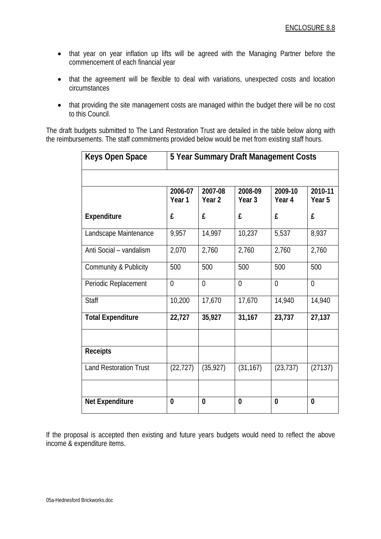- that year on year inflation up lifts will be agreed with the Managing Partner before the commencement of each financial year
- that the agreement will be flexible to deal with variations, unexpected costs and location circumstances
- that providing the site management costs are managed within the budget there will be no cost to this Council.

The draft budgets submitted to The Land Restoration Trust are detailed in the table below along with the reimbursements. The staff commitments provided below would be met from existing staff hours.

| <b>Keys Open Space</b>        | 5 Year Summary Draft Management Costs |                              |                              |                   |                              |
|-------------------------------|---------------------------------------|------------------------------|------------------------------|-------------------|------------------------------|
|                               |                                       |                              |                              |                   |                              |
|                               | 2006-07<br>Year 1                     | 2007-08<br>Year <sub>2</sub> | 2008-09<br>Year <sub>3</sub> | 2009-10<br>Year 4 | 2010-11<br>Year <sub>5</sub> |
| <b>Expenditure</b>            | £                                     | £                            | £                            | £                 | £                            |
| Landscape Maintenance         | 9,957                                 | 14,997                       | 10,237                       | 5,537             | 8,937                        |
| Anti Social - vandalism       | 2,070                                 | 2,760                        | 2,760                        | 2,760             | 2,760                        |
| Community & Publicity         | 500                                   | 500                          | 500                          | 500               | 500                          |
| Periodic Replacement          | $\overline{0}$                        | $\overline{0}$               | $\mathbf 0$                  | $\overline{0}$    | $\overline{0}$               |
| <b>Staff</b>                  | 10,200                                | 17,670                       | 17,670                       | 14,940            | 14,940                       |
| <b>Total Expenditure</b>      | 22,727                                | 35,927                       | 31,167                       | 23,737            | 27,137                       |
|                               |                                       |                              |                              |                   |                              |
| <b>Receipts</b>               |                                       |                              |                              |                   |                              |
| <b>Land Restoration Trust</b> | (22, 727)                             | (35, 927)                    | (31, 167)                    | (23, 737)         | (27137)                      |
|                               |                                       |                              |                              |                   |                              |
| <b>Net Expenditure</b>        | 0                                     | 0                            | 0                            | $\bf{0}$          | $\bf{0}$                     |

If the proposal is accepted then existing and future years budgets would need to reflect the above income & expenditure items.